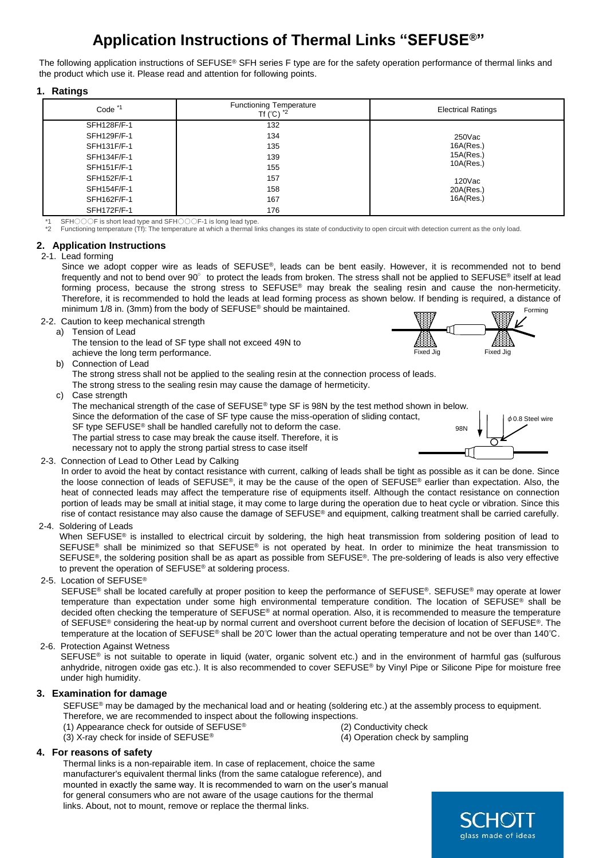# **Application Instructions of Thermal Links "SEFUSE®"**

The following application instructions of SEFUSE® SFH series F type are for the safety operation performance of thermal links and the product which use it. Please read and attention for following points.

#### **1. Ratings**

| Code <sup>*1</sup> | <b>Functioning Temperature</b><br>Tf $(^{\circ}C)$ $^{\star}2$ | <b>Electrical Ratings</b>                                               |
|--------------------|----------------------------------------------------------------|-------------------------------------------------------------------------|
| SFH128F/F-1        | 132                                                            |                                                                         |
| SFH129F/F-1        | 134                                                            | $250$ Vac<br>16A(Res.)<br>15A(Res.)<br>10A(Res.)<br>120Vac<br>20A(Res.) |
| SFH131F/F-1        | 135                                                            |                                                                         |
| SFH134F/F-1        | 139                                                            |                                                                         |
| SFH151F/F-1        | 155                                                            |                                                                         |
| SFH152F/F-1        | 157                                                            |                                                                         |
| SFH154F/F-1        | 158                                                            |                                                                         |
| SFH162F/F-1        | 167                                                            | 16A(Res.)                                                               |
| SFH172F/F-1        | 176                                                            |                                                                         |

\*1 SFH○○○F is short lead type and SFH○○○F-1 is long lead type.

\*2 Functioning temperature (Tf): The temperature at which a thermal links changes its state of conductivity to open circuit with detection current as the only load.

#### **2. Application Instructions**

#### 2-1. Lead forming

Since we adopt copper wire as leads of SEFUSE®, leads can be bent easily. However, it is recommended not to bend frequently and not to bend over 90° to protect the leads from broken. The stress shall not be applied to SEFUSE® itself at lead forming process, because the strong stress to SEFUSE<sup>®</sup> may break the sealing resin and cause the non-hermeticity. Therefore, it is recommended to hold the leads at lead forming process as shown below. If bending is required, a distance of minimum 1/8 in. (3mm) from the body of SEFUSE® should be maintained. Forming

2-2. Caution to keep mechanical strength a) Tension of Lead

The tension to the lead of SF type shall not exceed 49N to achieve the long term performance.

b) Connection of Lead

The strong stress shall not be applied to the sealing resin at the connection process of leads.

The strong stress to the sealing resin may cause the damage of hermeticity.

c) Case strength

The mechanical strength of the case of SEFUSE® type SF is 98N by the test method shown in below. Since the deformation of the case of SF type cause the miss-operation of sliding contact, SF type SEFUSE<sup>®</sup> shall be handled carefully not to deform the case. **98N** The partial stress to case may break the cause itself. Therefore, it is necessary not to apply the strong partial stress to case itself ┥║



Fixed Jig Fixed Jig

2-3. Connection of Lead to Other Lead by Calking

In order to avoid the heat by contact resistance with current, calking of leads shall be tight as possible as it can be done. Since the loose connection of leads of SEFUSE®, it may be the cause of the open of SEFUSE® earlier than expectation. Also, the heat of connected leads may affect the temperature rise of equipments itself. Although the contact resistance on connection portion of leads may be small at initial stage, it may come to large during the operation due to heat cycle or vibration. Since this rise of contact resistance may also cause the damage of SEFUSE® and equipment, calking treatment shall be carried carefully.

## 2-4. Soldering of Leads

When SEFUSE<sup>®</sup> is installed to electrical circuit by soldering, the high heat transmission from soldering position of lead to SEFUSE<sup>®</sup> shall be minimized so that SEFUSE® is not operated by heat. In order to minimize the heat transmission to SEFUSE<sup>®</sup>, the soldering position shall be as apart as possible from SEFUSE®. The pre-soldering of leads is also very effective to prevent the operation of SEFUSE® at soldering process.

#### 2-5. Location of SEFUSE®

SEFUSE® shall be located carefully at proper position to keep the performance of SEFUSE®. SEFUSE® may operate at lower temperature than expectation under some high environmental temperature condition. The location of SEFUSE® shall be decided often checking the temperature of SEFUSE® at normal operation. Also, it is recommended to measure the temperature of SEFUSE® considering the heat-up by normal current and overshoot current before the decision of location of SEFUSE®. The temperature at the location of SEFUSE® shall be 20℃ lower than the actual operating temperature and not be over than 140℃.

## 2-6. Protection Against Wetness

SEFUSE® is not suitable to operate in liquid (water, organic solvent etc.) and in the environment of harmful gas (sulfurous anhydride, nitrogen oxide gas etc.). It is also recommended to cover SEFUSE® by Vinyl Pipe or Silicone Pipe for moisture free under high humidity.

## **3. Examination for damage**

SEFUSE<sup>®</sup> may be damaged by the mechanical load and or heating (soldering etc.) at the assembly process to equipment. Therefore, we are recommended to inspect about the following inspections.

- (1) Appearance check for outside of SEFUSE® (2) Conductivity check
- (3) X-ray check for inside of SEFUSE® (4) Operation check by sampling
- 

## **4. For reasons of safety**

Thermal links is a non-repairable item. In case of replacement, choice the same manufacturer's equivalent thermal links (from the same catalogue reference), and mounted in exactly the same way. It is recommended to warn on the user's manual for general consumers who are not aware of the usage cautions for the thermal links. About, not to mount, remove or replace the thermal links.